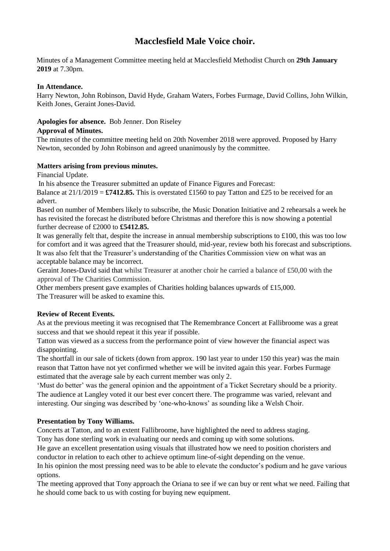# **Macclesfield Male Voice choir.**

Minutes of a Management Committee meeting held at Macclesfield Methodist Church on **29th January 2019** at 7.30pm.

#### **In Attendance.**

Harry Newton, John Robinson, David Hyde, Graham Waters, Forbes Furmage, David Collins, John Wilkin, Keith Jones, Geraint Jones-David.

# **Apologies for absence.** Bob Jenner. Don Riseley

#### **Approval of Minutes.**

The minutes of the committee meeting held on 20th November 2018 were approved. Proposed by Harry Newton, seconded by John Robinson and agreed unanimously by the committee.

# **Matters arising from previous minutes.**

Financial Update.

In his absence the Treasurer submitted an update of Finance Figures and Forecast:

Balance at  $21/1/2019 = \text{\textsterling}7412.85$ . This is overstated £1560 to pay Tatton and £25 to be received for an advert.

Based on number of Members likely to subscribe, the Music Donation Initiative and 2 rehearsals a week he has revisited the forecast he distributed before Christmas and therefore this is now showing a potential further decrease of £2000 to **£5412.85.**

It was generally felt that, despite the increase in annual membership subscriptions to £100, this was too low for comfort and it was agreed that the Treasurer should, mid-year, review both his forecast and subscriptions. It was also felt that the Treasurer's understanding of the Charities Commission view on what was an acceptable balance may be incorrect.

Geraint Jones-David said that whilst Treasurer at another choir he carried a balance of £50,00 with the approval of The Charities Commission.

Other members present gave examples of Charities holding balances upwards of £15,000. The Treasurer will be asked to examine this.

# **Review of Recent Events.**

As at the previous meeting it was recognised that The Remembrance Concert at Fallibroome was a great success and that we should repeat it this year if possible.

Tatton was viewed as a success from the performance point of view however the financial aspect was disappointing.

The shortfall in our sale of tickets (down from approx. 190 last year to under 150 this year) was the main reason that Tatton have not yet confirmed whether we will be invited again this year. Forbes Furmage estimated that the average sale by each current member was only 2.

'Must do better' was the general opinion and the appointment of a Ticket Secretary should be a priority. The audience at Langley voted it our best ever concert there. The programme was varied, relevant and interesting. Our singing was described by 'one-who-knows' as sounding like a Welsh Choir.

# **Presentation by Tony Williams.**

Concerts at Tatton, and to an extent Fallibroome, have highlighted the need to address staging.

Tony has done sterling work in evaluating our needs and coming up with some solutions.

He gave an excellent presentation using visuals that illustrated how we need to position choristers and conductor in relation to each other to achieve optimum line-of-sight depending on the venue.

In his opinion the most pressing need was to be able to elevate the conductor's podium and he gave various options.

The meeting approved that Tony approach the Oriana to see if we can buy or rent what we need. Failing that he should come back to us with costing for buying new equipment.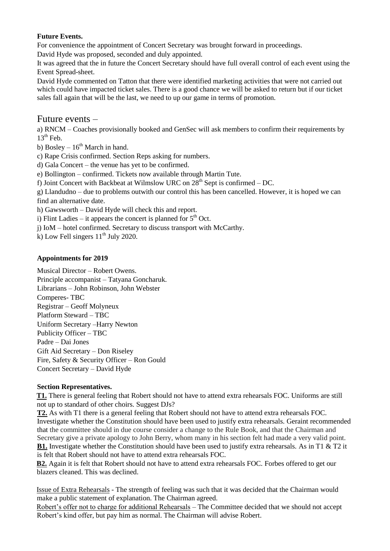# **Future Events.**

For convenience the appointment of Concert Secretary was brought forward in proceedings.

David Hyde was proposed, seconded and duly appointed.

It was agreed that the in future the Concert Secretary should have full overall control of each event using the Event Spread-sheet.

David Hyde commented on Tatton that there were identified marketing activities that were not carried out which could have impacted ticket sales. There is a good chance we will be asked to return but if our ticket sales fall again that will be the last, we need to up our game in terms of promotion.

# Future events –

a) RNCM – Coaches provisionally booked and GenSec will ask members to confirm their requirements by  $13<sup>th</sup>$  Feb.

b) Bosley –  $16<sup>th</sup>$  March in hand.

c) Rape Crisis confirmed. Section Reps asking for numbers.

d) Gala Concert – the venue has yet to be confirmed.

e) Bollington – confirmed. Tickets now available through Martin Tute.

f) Joint Concert with Backbeat at Wilmslow URC on  $28<sup>th</sup>$  Sept is confirmed – DC.

g) Llandudno – due to problems outwith our control this has been cancelled. However, it is hoped we can find an alternative date.

h) Gawsworth – David Hyde will check this and report.

i) Flint Ladies – it appears the concert is planned for  $5<sup>th</sup>$  Oct.

j) IoM – hotel confirmed. Secretary to discuss transport with McCarthy.

k) Low Fell singers  $11<sup>th</sup>$  July 2020.

#### **Appointments for 2019**

Musical Director – Robert Owens. Principle accompanist – Tatyana Goncharuk. Librarians – John Robinson, John Webster Comperes- TBC Registrar – Geoff Molyneux Platform Steward – TBC Uniform Secretary –Harry Newton Publicity Officer – TBC Padre – Dai Jones Gift Aid Secretary – Don Riseley Fire, Safety & Security Officer – Ron Gould Concert Secretary – David Hyde

#### **Section Representatives.**

**T1.** There is general feeling that Robert should not have to attend extra rehearsals FOC. Uniforms are still not up to standard of other choirs. Suggest DJs?

**T2.** As with T1 there is a general feeling that Robert should not have to attend extra rehearsals FOC. Investigate whether the Constitution should have been used to justify extra rehearsals. Geraint recommended that the committee should in due course consider a change to the Rule Book, and that the Chairman and Secretary give a private apology to John Berry, whom many in his section felt had made a very valid point. **B1.** Investigate whether the Constitution should have been used to justify extra rehearsals. As in T1 & T2 it is felt that Robert should not have to attend extra rehearsals FOC.

**B2.** Again it is felt that Robert should not have to attend extra rehearsals FOC. Forbes offered to get our blazers cleaned. This was declined.

Issue of Extra Rehearsals - The strength of feeling was such that it was decided that the Chairman would make a public statement of explanation. The Chairman agreed.

Robert's offer not to charge for additional Rehearsals – The Committee decided that we should not accept Robert's kind offer, but pay him as normal. The Chairman will advise Robert.